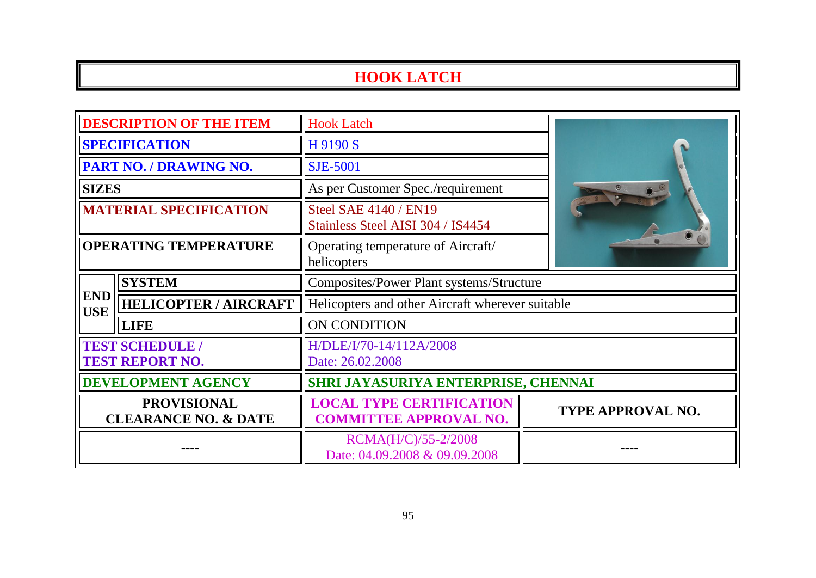## **HOOK LATCH**

| <b>DESCRIPTION OF THE ITEM</b>                        |                              | <b>Hook Latch</b>                                                 |                   |  |
|-------------------------------------------------------|------------------------------|-------------------------------------------------------------------|-------------------|--|
| <b>SPECIFICATION</b>                                  |                              | H 9190 S                                                          |                   |  |
| PART NO. / DRAWING NO.                                |                              | <b>SJE-5001</b>                                                   |                   |  |
| <b>SIZES</b>                                          |                              | As per Customer Spec./requirement                                 |                   |  |
| <b>MATERIAL SPECIFICATION</b>                         |                              | <b>Steel SAE 4140 / EN19</b><br>Stainless Steel AISI 304 / IS4454 |                   |  |
| <b>OPERATING TEMPERATURE</b>                          |                              | Operating temperature of Aircraft/<br>helicopters                 |                   |  |
| <b>END</b><br><b>USE</b>                              | <b>SYSTEM</b>                | <b>Composites/Power Plant systems/Structure</b>                   |                   |  |
|                                                       | <b>HELICOPTER / AIRCRAFT</b> | Helicopters and other Aircraft wherever suitable                  |                   |  |
|                                                       | <b>LIFE</b>                  | ON CONDITION                                                      |                   |  |
| <b>TEST SCHEDULE /</b><br><b>TEST REPORT NO.</b>      |                              | H/DLE/I/70-14/112A/2008<br>Date: 26.02.2008                       |                   |  |
| <b>DEVELOPMENT AGENCY</b>                             |                              | SHRI JAYASURIYA ENTERPRISE, CHENNAI                               |                   |  |
| <b>PROVISIONAL</b><br><b>CLEARANCE NO. &amp; DATE</b> |                              | <b>LOCAL TYPE CERTIFICATION</b><br><b>COMMITTEE APPROVAL NO.</b>  | TYPE APPROVAL NO. |  |
|                                                       |                              | RCMA(H/C)/55-2/2008<br>Date: 04.09.2008 & 09.09.2008              |                   |  |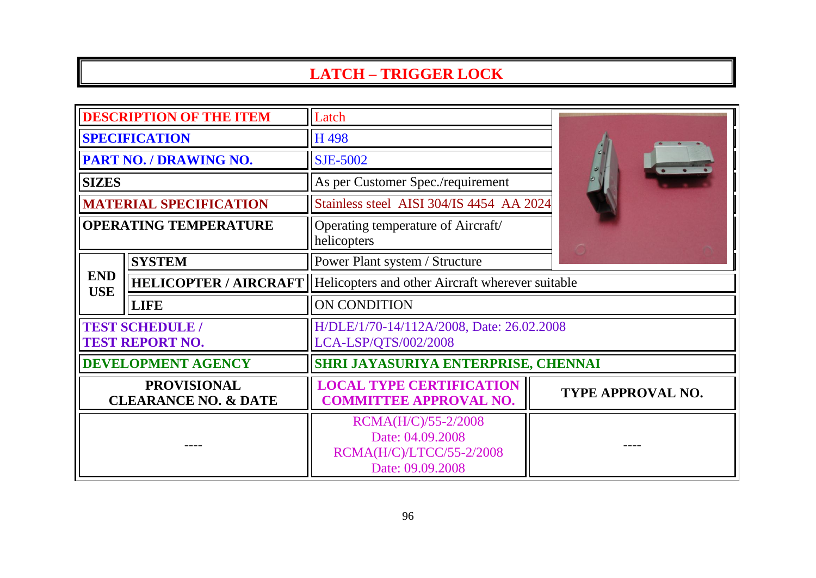## **LATCH – TRIGGER LOCK**

| <b>DESCRIPTION OF THE ITEM</b>                        |                              | Latch                                                                                   |                   |  |
|-------------------------------------------------------|------------------------------|-----------------------------------------------------------------------------------------|-------------------|--|
| <b>SPECIFICATION</b>                                  |                              | H 498                                                                                   |                   |  |
| PART NO. / DRAWING NO.                                |                              | <b>SJE-5002</b>                                                                         |                   |  |
| <b>SIZES</b>                                          |                              | As per Customer Spec./requirement                                                       |                   |  |
| <b>MATERIAL SPECIFICATION</b>                         |                              | Stainless steel AISI 304/IS 4454 AA 2024                                                |                   |  |
| <b>OPERATING TEMPERATURE</b>                          |                              | Operating temperature of Aircraft/<br>helicopters                                       |                   |  |
| <b>END</b><br><b>USE</b>                              | <b>SYSTEM</b>                | Power Plant system / Structure                                                          |                   |  |
|                                                       | <b>HELICOPTER / AIRCRAFT</b> | Helicopters and other Aircraft wherever suitable                                        |                   |  |
|                                                       | <b>LIFE</b>                  | ON CONDITION                                                                            |                   |  |
| <b>TEST SCHEDULE /</b><br><b>TEST REPORT NO.</b>      |                              | H/DLE/1/70-14/112A/2008, Date: 26.02.2008<br>LCA-LSP/QTS/002/2008                       |                   |  |
| <b>DEVELOPMENT AGENCY</b>                             |                              | SHRI JAYASURIYA ENTERPRISE, CHENNAI                                                     |                   |  |
| <b>PROVISIONAL</b><br><b>CLEARANCE NO. &amp; DATE</b> |                              | <b>LOCAL TYPE CERTIFICATION</b><br><b>COMMITTEE APPROVAL NO.</b>                        | TYPE APPROVAL NO. |  |
|                                                       |                              | RCMA(H/C)/55-2/2008<br>Date: 04.09.2008<br>RCMA(H/C)/LTCC/55-2/2008<br>Date: 09.09.2008 |                   |  |